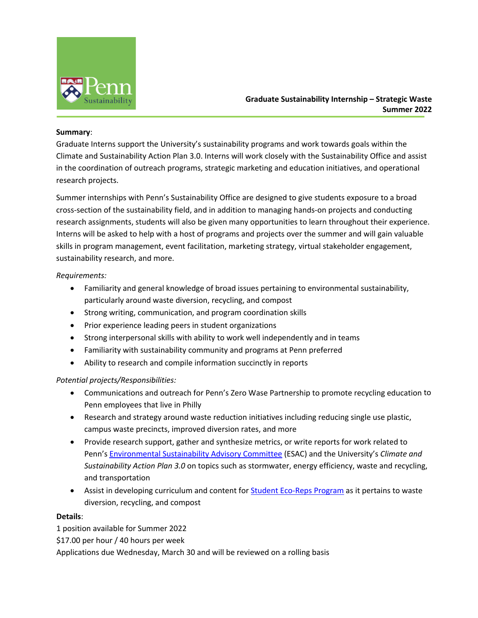

# **Graduate Sustainability Internship – Strategic Waste Summer 2022**

#### **Summary**:

Graduate Interns support the University's sustainability programs and work towards goals within the Climate and Sustainability Action Plan 3.0. Interns will work closely with the Sustainability Office and assist in the coordination of outreach programs, strategic marketing and education initiatives, and operational research projects.

Summer internships with Penn's Sustainability Office are designed to give students exposure to a broad cross-section of the sustainability field, and in addition to managing hands-on projects and conducting research assignments, students will also be given many opportunities to learn throughout their experience. Interns will be asked to help with a host of programs and projects over the summer and will gain valuable skills in program management, event facilitation, marketing strategy, virtual stakeholder engagement, sustainability research, and more.

#### *Requirements:*

- Familiarity and general knowledge of broad issues pertaining to environmental sustainability, particularly around waste diversion, recycling, and compost
- Strong writing, communication, and program coordination skills
- Prior experience leading peers in student organizations
- Strong interpersonal skills with ability to work well independently and in teams
- Familiarity with sustainability community and programs at Penn preferred
- Ability to research and compile information succinctly in reports

## *Potential projects/Responsibilities:*

- Communications and outreach for Penn's Zero Wase Partnership to promote recycling education to Penn employees that live in Philly
- Research and strategy around waste reduction initiatives including reducing single use plastic, campus waste precincts, improved diversion rates, and more
- Provide research support, gather and synthesize metrics, or write reports for work related to Penn's Environmental Sustainability Advisory Committee (ESAC) and the University's *Climate and Sustainability Action Plan 3.0* on topics such as stormwater, energy efficiency, waste and recycling, and transportation
- Assist in developing curriculum and content for Student Eco-Reps Program as it pertains to waste diversion, recycling, and compost

## **Details**:

1 position available for Summer 2022 \$17.00 per hour / 40 hours per week Applications due Wednesday, March 30 and will be reviewed on a rolling basis